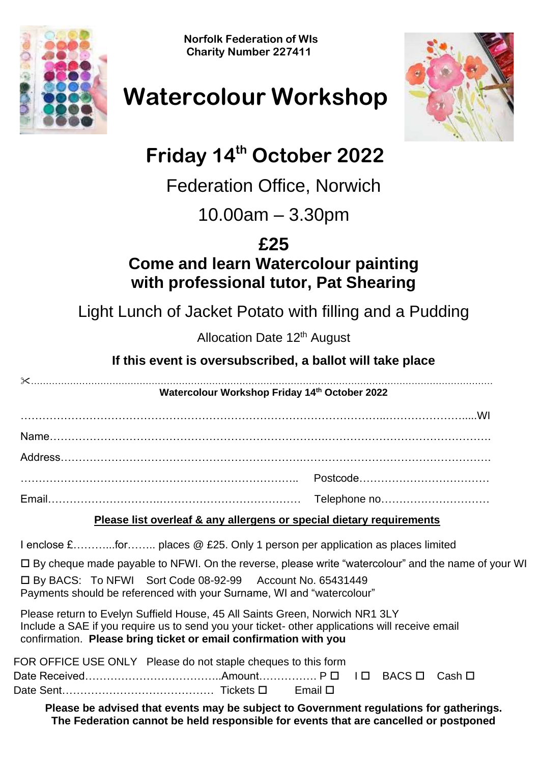**Norfolk Federation of WIs Charity Number 227411**





# **Watercolour Workshop**

## **Friday 14th October 2022**

### Federation Office, Norwich

10.00am – 3.30pm

### **£25**

#### **Come and learn Watercolour painting with professional tutor, Pat Shearing**

Light Lunch of Jacket Potato with filling and a Pudding

Allocation Date 12<sup>th</sup> August

#### **If this event is oversubscribed, a ballot will take place**

| Watercolour Workshop Friday 14th October 2022                                                                                                                                                                                                      |
|----------------------------------------------------------------------------------------------------------------------------------------------------------------------------------------------------------------------------------------------------|
|                                                                                                                                                                                                                                                    |
|                                                                                                                                                                                                                                                    |
|                                                                                                                                                                                                                                                    |
|                                                                                                                                                                                                                                                    |
|                                                                                                                                                                                                                                                    |
| Please list overleaf & any allergens or special dietary requirements                                                                                                                                                                               |
| I enclose £for places @ £25. Only 1 person per application as places limited                                                                                                                                                                       |
| $\Box$ By cheque made payable to NFWI. On the reverse, please write "watercolour" and the name of your WI                                                                                                                                          |
| □ By BACS: To NFWI Sort Code 08-92-99 Account No. 65431449<br>Payments should be referenced with your Surname, WI and "watercolour"                                                                                                                |
| Please return to Evelyn Suffield House, 45 All Saints Green, Norwich NR1 3LY<br>Include a SAE if you require us to send you your ticket- other applications will receive email<br>confirmation. Please bring ticket or email confirmation with you |
| FOR OFFICE USE ONLY Please do not staple cheques to this form                                                                                                                                                                                      |
| Cash <b>□</b>                                                                                                                                                                                                                                      |
|                                                                                                                                                                                                                                                    |
| Please be advised that events may be subject to Government regulations for gatherings.<br>The Federation cannot be held responsible for events that are cancelled or postponed                                                                     |